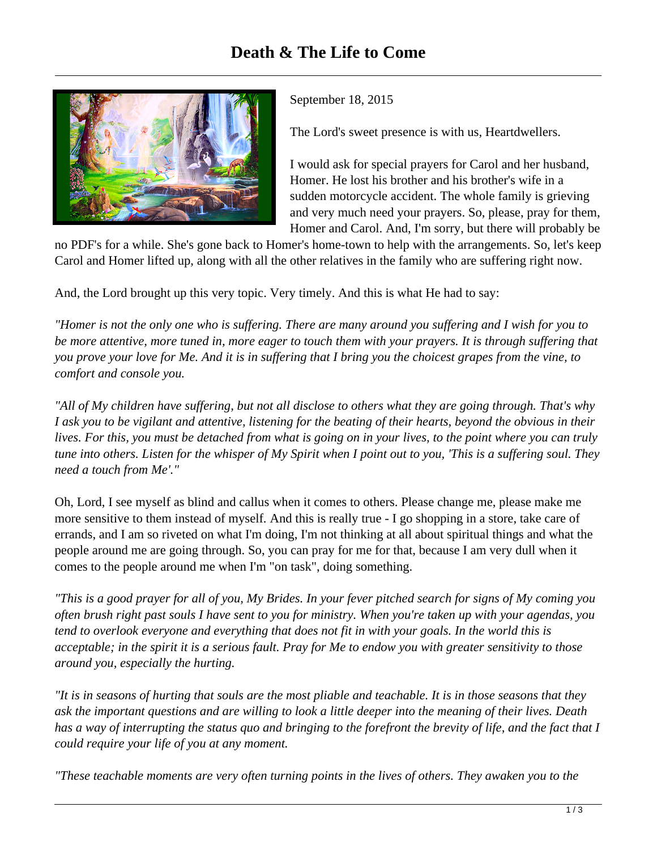

September 18, 2015

The Lord's sweet presence is with us, Heartdwellers.

I would ask for special prayers for Carol and her husband, Homer. He lost his brother and his brother's wife in a sudden motorcycle accident. The whole family is grieving and very much need your prayers. So, please, pray for them, Homer and Carol. And, I'm sorry, but there will probably be

no PDF's for a while. She's gone back to Homer's home-town to help with the arrangements. So, let's keep Carol and Homer lifted up, along with all the other relatives in the family who are suffering right now.

And, the Lord brought up this very topic. Very timely. And this is what He had to say:

*"Homer is not the only one who is suffering. There are many around you suffering and I wish for you to be more attentive, more tuned in, more eager to touch them with your prayers. It is through suffering that you prove your love for Me. And it is in suffering that I bring you the choicest grapes from the vine, to comfort and console you.* 

*"All of My children have suffering, but not all disclose to others what they are going through. That's why I ask you to be vigilant and attentive, listening for the beating of their hearts, beyond the obvious in their lives. For this, you must be detached from what is going on in your lives, to the point where you can truly tune into others. Listen for the whisper of My Spirit when I point out to you, 'This is a suffering soul. They need a touch from Me'."*

Oh, Lord, I see myself as blind and callus when it comes to others. Please change me, please make me more sensitive to them instead of myself*.* And this is really true - I go shopping in a store, take care of errands, and I am so riveted on what I'm doing, I'm not thinking at all about spiritual things and what the people around me are going through. So, you can pray for me for that, because I am very dull when it comes to the people around me when I'm "on task", doing something.

*"This is a good prayer for all of you, My Brides. In your fever pitched search for signs of My coming you often brush right past souls I have sent to you for ministry. When you're taken up with your agendas, you tend to overlook everyone and everything that does not fit in with your goals. In the world this is acceptable; in the spirit it is a serious fault. Pray for Me to endow you with greater sensitivity to those around you, especially the hurting.*

*"It is in seasons of hurting that souls are the most pliable and teachable. It is in those seasons that they ask the important questions and are willing to look a little deeper into the meaning of their lives. Death has a way of interrupting the status quo and bringing to the forefront the brevity of life, and the fact that I could require your life of you at any moment.*

*"These teachable moments are very often turning points in the lives of others. They awaken you to the*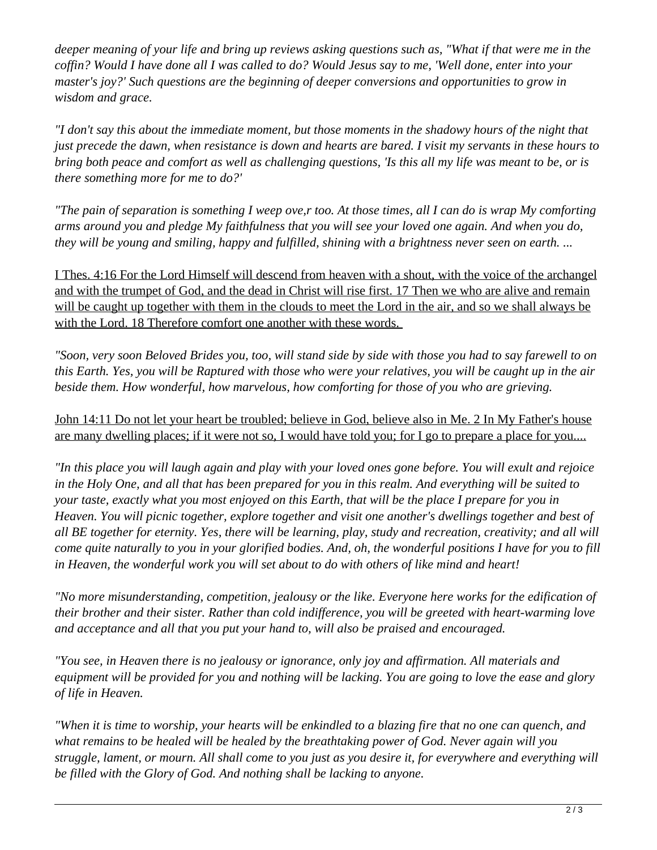*deeper meaning of your life and bring up reviews asking questions such as, "What if that were me in the coffin? Would I have done all I was called to do? Would Jesus say to me, 'Well done, enter into your master's joy?' Such questions are the beginning of deeper conversions and opportunities to grow in wisdom and grace.* 

*"I don't say this about the immediate moment, but those moments in the shadowy hours of the night that just precede the dawn, when resistance is down and hearts are bared. I visit my servants in these hours to bring both peace and comfort as well as challenging questions, 'Is this all my life was meant to be, or is there something more for me to do?'*

*"The pain of separation is something I weep ove,r too. At those times, all I can do is wrap My comforting arms around you and pledge My faithfulness that you will see your loved one again. And when you do, they will be young and smiling, happy and fulfilled, shining with a brightness never seen on earth. ...*

I Thes. 4:16 For the Lord Himself will descend from heaven with a shout, with the voice of the archangel and with the trumpet of God, and the dead in Christ will rise first. 17 Then we who are alive and remain will be caught up together with them in the clouds to meet the Lord in the air, and so we shall always be with the Lord. 18 Therefore comfort one another with these words.

*"Soon, very soon Beloved Brides you, too, will stand side by side with those you had to say farewell to on this Earth. Yes, you will be Raptured with those who were your relatives, you will be caught up in the air beside them. How wonderful, how marvelous, how comforting for those of you who are grieving.*

John 14:11 Do not let your heart be troubled; believe in God, believe also in Me. 2 In My Father's house are many dwelling places; if it were not so, I would have told you; for I go to prepare a place for you....

*"In this place you will laugh again and play with your loved ones gone before. You will exult and rejoice in the Holy One, and all that has been prepared for you in this realm. And everything will be suited to your taste, exactly what you most enjoyed on this Earth, that will be the place I prepare for you in Heaven. You will picnic together, explore together and visit one another's dwellings together and best of all BE together for eternity. Yes, there will be learning, play, study and recreation, creativity; and all will come quite naturally to you in your glorified bodies. And, oh, the wonderful positions I have for you to fill in Heaven, the wonderful work you will set about to do with others of like mind and heart!*

*"No more misunderstanding, competition, jealousy or the like. Everyone here works for the edification of their brother and their sister. Rather than cold indifference, you will be greeted with heart-warming love and acceptance and all that you put your hand to, will also be praised and encouraged.* 

*"You see, in Heaven there is no jealousy or ignorance, only joy and affirmation. All materials and equipment will be provided for you and nothing will be lacking. You are going to love the ease and glory of life in Heaven.* 

*"When it is time to worship, your hearts will be enkindled to a blazing fire that no one can quench, and what remains to be healed will be healed by the breathtaking power of God. Never again will you struggle, lament, or mourn. All shall come to you just as you desire it, for everywhere and everything will be filled with the Glory of God. And nothing shall be lacking to anyone.*